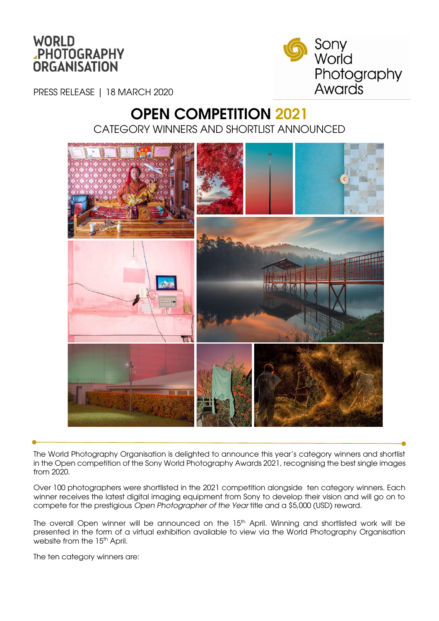



PRESS RELEASE | 18 MARCH 2020

# OPEN COMPETITION 2021 CATEGORY WINNERS AND SHORTLIST ANNOUNCED



The World Photography Organisation is delighted to announce this year's category winners and shortlist in the Open competition of the Sony World Photography Awards 2021, recognising the best single images from 2020.

Over 100 photographers were shortlisted in the 2021 competition alongside ten category winners. Each winner receives the latest digital imaging equipment from Sony to develop their vision and will go on to compete for the prestigious *Open Photographer of the Year* title and a \$5,000 (USD) reward.

The overall Open winner will be announced on the 15<sup>th</sup> April. Winning and shortlisted work will be presented in the form of a virtual exhibition available to view via the World Photography Organisation website from the 15<sup>th</sup> April.

The ten category winners are: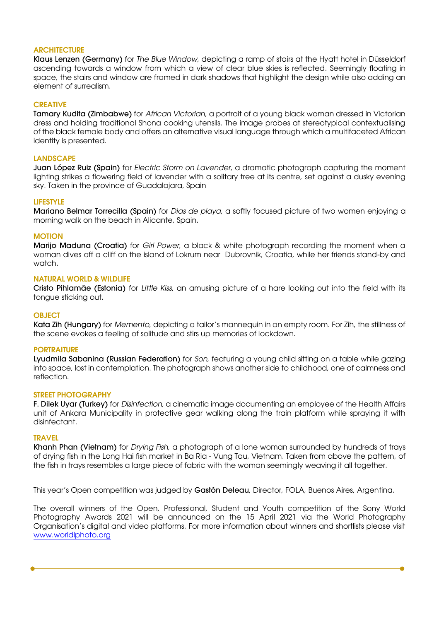### **ARCHITECTURE**

Klaus Lenzen (Germany) for *The Blue Window*, depicting a ramp of stairs at the Hyatt hotel in Düsseldorf ascending towards a window from which a view of clear blue skies is reflected. Seemingly floating in space, the stairs and window are framed in dark shadows that highlight the design while also adding an element of surrealism.

### **CREATIVE**

Tamary Kudita (Zimbabwe) for *African Victorian,* a portrait of a young black woman dressed in Victorian dress and holding traditional Shona cooking utensils. The image probes at stereotypical contextualising of the black female body and offers an alternative visual language through which a multifaceted African identity is presented.

### **LANDSCAPE**

Juan López Ruiz (Spain) for *Electric Storm on Lavender*, a dramatic photograph capturing the moment lighting strikes a flowering field of lavender with a solitary tree at its centre, set against a dusky evening sky. Taken in the province of Guadalajara, Spain

### LIFESTYLE

Mariano Belmar Torrecilla (Spain) for *Dias de playa*, a softly focused picture of two women enjoying a morning walk on the beach in Alicante, Spain.

### MOTION

Marijo Maduna (Croatia) for *Girl Power*, a black & white photograph recording the moment when a woman dives off a cliff on the island of Lokrum near Dubrovnik, Croatia, while her friends stand-by and watch.

### NATURAL WORLD & WILDLIFE

Cristo Pihlamäe (Estonia) for *Little Kiss*, an amusing picture of a hare looking out into the field with its tongue sticking out.

### **OBJECT**

Kata Zih (Hungary) for *Memento*, depicting a tailor's mannequin in an empty room. For Zih, the stillness of the scene evokes a feeling of solitude and stirs up memories of lockdown.

### **PORTRAITURE**

Lyudmila Sabanina (Russian Federation) for *Son*, featuring a young child sitting on a table while gazing into space, lost in contemplation. The photograph shows another side to childhood, one of calmness and reflection.

### STREET PHOTOGRAPHY

F. Dilek Uyar (Turkey) for *Disinfection*, a cinematic image documenting an employee of the Health Affairs unit of Ankara Municipality in protective gear walking along the train platform while spraying it with disinfectant.

### TRAVEL

Khanh Phan (Vietnam) for *Drying Fish*, a photograph of a lone woman surrounded by hundreds of trays of drying fish in the Long Hai fish market in Ba Ria - Vung Tau, Vietnam. Taken from above the pattern, of the fish in trays resembles a large piece of fabric with the woman seemingly weaving it all together.

This year's Open competition was judged by Gastón Deleau, Director, FOLA, Buenos Aires, Argentina.

The overall winners of the Open, Professional, Student and Youth competition of the Sony World Photography Awards 2021 will be announced on the 15 April 2021 via the World Photography Organisation's digital and video platforms. For more information about winners and shortlists please visit [www.worldlphoto.org](http://www.worldlphoto.org/)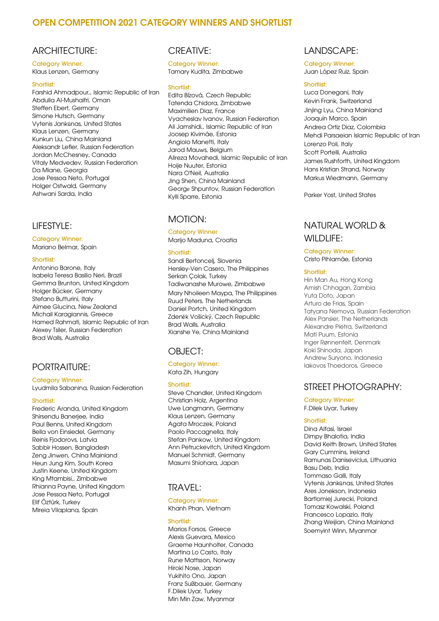# OPEN COMPETITION 2021 CATEGORY WINNERS AND SHORTLIST

### ARCHITECTURE:

Category Winner: Klaus Lenzen, Germany

#### Shortlist:

Farshid Ahmadpour,, Islamic Republic of Iran Abdulla Al-Mushaifri, Oman Steffen Ebert, Germany Simone Hutsch, Germany Vytenis Jankūnas, United States Klaus Lenzen, Germany Kunkun Liu, China Mainland Aleksandr Lefler, Russian Federation Jordan McChesney, Canada Vitaly Medvedev, Russian Federation Da Miane, Georgia Jose Pessoa Neto, Portugal Holger Ostwald, Germany Ashwani Sarda, India

### LIFESTYLE:

Category Winner:

Mariano Belmar, Spain

#### **Shortlist:**

Antonino Barone, Italy Isabela Teresa Basilio Neri, Brazil Gemma Brunton, United Kingdom Holger Bücker, Germany Stefano Butturini, Italy Aimee Glucina, New Zealand Michail Karagiannis, Greece Hamed Rahmati, Islamic Republic of Iran Alexey Tsiler, Russian Federation Brad Walls, Australia

### PORTRAITURE:

#### Category Winner:

Lyudmila Sabanina, Russian Federation

#### Shortlist:

Frederic Aranda, United Kingdom Shirsendu Banerjee, India Paul Benns, United Kingdom Bella von Einsiedel, Germany Reinis Fjodorovs, Latvia Sabbir Hossen, Bangladesh Zeng Jinwen, China Mainland Heun Jung Kim, South Korea Justin Keene, United Kingdom King Mtambisi,, Zimbabwe Rhianna Payne, United Kingdom Jose Pessoa Neto, Portugal Elif Öztürk, Turkey Mireia Vilaplana, Spain

### CREATIVE:

#### Category Winner: Tamary Kudita, Zimbabwe

#### Shortlist:

Edita Bízová, Czech Republic Tatenda Chidora, Zimbabwe Maximilien Diaz, France Vyacheslav Ivanov, Russian Federation Ali Jamshidi,, Islamic Republic of Iran Joosep Kivimäe, Estonia Angiolo Manetti, Italy Jarod Mauws, Belgium Alireza Movahedi, Islamic Republic of Iran Hoije Nuuter, Estonia Nara O'Neil, Australia Jing Shen, China Mainland Georgе Shpuntov, Russian Federation Kylli Sparre, Estonia

### MOTION:

Category Winner Marijo Maduna, Croatia

#### Shortlist:

Sandi Bertoncelj, Slovenia Hersley-Ven Casero, The Philippines Serkan Çolak, Turkey Tadiwanashe Murowe, Zimbabwe Mary Nhoileen Maypa, The Philippines Ruud Peters, The Netherlands Daniel Portch, United Kingdom Zdeněk Vošický, Czech Republic Brad Walls, Australia Xianshe Ye, China Mainland

# OBJECT:

### Category Winner:

Kata Zih, Hungary

#### Shortlist:

Steve Chandler, United Kingdom Christian Holz, Argentina Uwe Langmann, Germany Klaus Lenzen, Germany Agata Mroczek, Poland Paolo Paccagnella, Italy Stefan Pankow, United Kingdom Ann Petruckevitch, United Kingdom Manuel Schmidt, Germany Masumi Shiohara, Japan

# TRAVEL:

#### Category Winner:

Khanh Phan, Vietnam

#### Shortlist:

Marios Forsos, Greece Alexis Guevara, Mexico Graeme Haunholter, Canada Martina Lo Casto, Italy Rune Mattsson, Norway Hiroki Nose, Japan Yukihito Ono, Japan Franz Sußbauer, Germany F.Dilek Uyar, Turkey Min Min Zaw, Myanmar

### LANDSCAPE:

Category Winner: Juan López Ruiz, Spain

#### Shortlist:

Luca Donegani, Italy Kevin Frank, Switzerland Jinjing Lyu, China Mainland Joaquin Marco, Spain Andrea Ortiz Diaz, Colombia Mehdi Parsaeian Islamic Republic of Iran Lorenzo Poli, Italy Scott Portelli, Australia James Rushforth, United Kingdom Hans Kristian Strand, Norway Markus Wiedmann, Germany

Parker Yost, United States

# NATURAL WORLD & WILDLIFE:

#### Category Winner: Cristo Pihlamäe, Estonia

#### Shortlist:

Hin Man Au, Hong Kong Amish Chhagan, Zambia Yuta Doto, Japan Arturo de Frias, Spain Tatyana Nemova, Russian Federation Alex Pansier, The Netherlands Alexandre Pietra, Switzerland Mati Puum, Estonia Inger Rønnenfelt, Denmark Koki Shinoda, Japan Andrew Suryono, Indonesia Iakovos Thoedoros, Greece

# STREET PHOTOGRAPHY:

### Category Winner:

F.Dilek Uyar, Turkey

#### Shortlist:

Dina Alfasi, Israel Dimpy Bhalotia, India David Keith Brown, United States Gary Cummins, Ireland Ramunas Danisevicius, Lithuania Basu Deb, India Tommaso Galli, Italy Vytenis Jankūnas, United States Ares Jonekson, Indonesia Bartlomiej Jurecki, Poland Tomasz Kowalski, Poland Francesco Lopazio, Italy Zhang Weijian, China Mainland Soemyint Winn, Myanmar